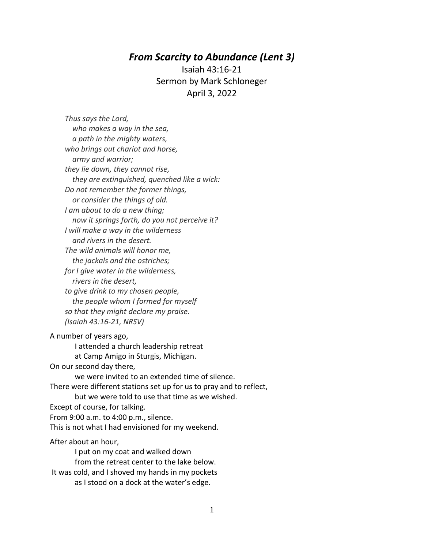## *From Scarcity to Abundance (Lent 3)*

Isaiah 43:16-21 Sermon by Mark Schloneger April 3, 2022

*Thus says the Lord, who makes a way in the sea, a path in the mighty waters, who brings out chariot and horse, army and warrior; they lie down, they cannot rise, they are extinguished, quenched like a wick: Do not remember the former things, or consider the things of old. I am about to do a new thing; now it springs forth, do you not perceive it? I will make a way in the wilderness and rivers in the desert. The wild animals will honor me, the jackals and the ostriches; for I give water in the wilderness, rivers in the desert, to give drink to my chosen people, the people whom I formed for myself so that they might declare my praise. (Isaiah 43:16-21, NRSV)* A number of years ago, I attended a church leadership retreat at Camp Amigo in Sturgis, Michigan. On our second day there, we were invited to an extended time of silence. There were different stations set up for us to pray and to reflect, but we were told to use that time as we wished. Except of course, for talking. From 9:00 a.m. to 4:00 p.m., silence. This is not what I had envisioned for my weekend. After about an hour, I put on my coat and walked down from the retreat center to the lake below.

It was cold, and I shoved my hands in my pockets as I stood on a dock at the water's edge.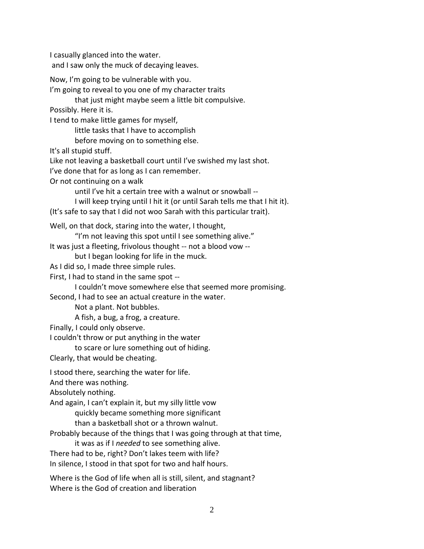I casually glanced into the water.

and I saw only the muck of decaying leaves.

Now, I'm going to be vulnerable with you.

I'm going to reveal to you one of my character traits

that just might maybe seem a little bit compulsive.

Possibly. Here it is.

I tend to make little games for myself,

little tasks that I have to accomplish

before moving on to something else.

It's all stupid stuff.

Like not leaving a basketball court until I've swished my last shot.

I've done that for as long as I can remember.

Or not continuing on a walk

until I've hit a certain tree with a walnut or snowball --

I will keep trying until I hit it (or until Sarah tells me that I hit it).

(It's safe to say that I did not woo Sarah with this particular trait).

Well, on that dock, staring into the water, I thought,

"I'm not leaving this spot until I see something alive."

It was just a fleeting, frivolous thought -- not a blood vow --

but I began looking for life in the muck.

As I did so, I made three simple rules.

First, I had to stand in the same spot --

I couldn't move somewhere else that seemed more promising.

Second, I had to see an actual creature in the water.

Not a plant. Not bubbles.

A fish, a bug, a frog, a creature.

Finally, I could only observe.

I couldn't throw or put anything in the water

to scare or lure something out of hiding.

Clearly, that would be cheating.

I stood there, searching the water for life.

And there was nothing.

Absolutely nothing.

And again, I can't explain it, but my silly little vow

quickly became something more significant

than a basketball shot or a thrown walnut.

Probably because of the things that I was going through at that time,

it was as if I *needed* to see something alive.

There had to be, right? Don't lakes teem with life?

In silence, I stood in that spot for two and half hours.

Where is the God of life when all is still, silent, and stagnant? Where is the God of creation and liberation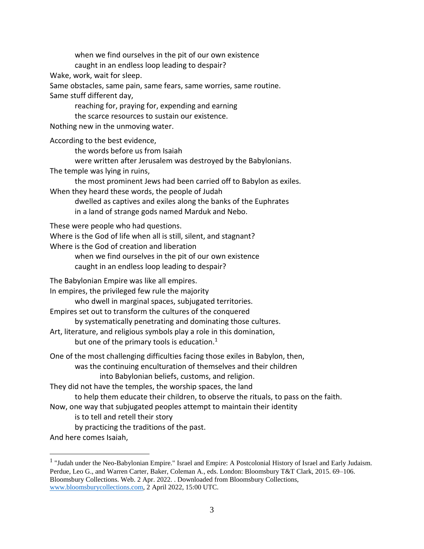when we find ourselves in the pit of our own existence caught in an endless loop leading to despair?

Wake, work, wait for sleep.

Same obstacles, same pain, same fears, same worries, same routine. Same stuff different day,

reaching for, praying for, expending and earning

the scarce resources to sustain our existence.

Nothing new in the unmoving water.

According to the best evidence,

the words before us from Isaiah

were written after Jerusalem was destroyed by the Babylonians. The temple was lying in ruins,

the most prominent Jews had been carried off to Babylon as exiles.

When they heard these words, the people of Judah dwelled as captives and exiles along the banks of the Euphrates

in a land of strange gods named Marduk and Nebo.

These were people who had questions.

Where is the God of life when all is still, silent, and stagnant?

Where is the God of creation and liberation

when we find ourselves in the pit of our own existence caught in an endless loop leading to despair?

The Babylonian Empire was like all empires.

In empires, the privileged few rule the majority

who dwell in marginal spaces, subjugated territories.

Empires set out to transform the cultures of the conquered

by systematically penetrating and dominating those cultures.

Art, literature, and religious symbols play a role in this domination,

but one of the primary tools is education. $1$ 

One of the most challenging difficulties facing those exiles in Babylon, then,

was the continuing enculturation of themselves and their children

into Babylonian beliefs, customs, and religion.

They did not have the temples, the worship spaces, the land

to help them educate their children, to observe the rituals, to pass on the faith.

Now, one way that subjugated peoples attempt to maintain their identity

is to tell and retell their story

by practicing the traditions of the past.

And here comes Isaiah,

 $\overline{a}$ 

 $<sup>1</sup>$  "Judah under the Neo-Babylonian Empire." Israel and Empire: A Postcolonial History of Israel and Early Judaism.</sup> Perdue, Leo G., and Warren Carter, Baker, Coleman A., eds. London: Bloomsbury T&T Clark, 2015. 69–106. Bloomsbury Collections. Web. 2 Apr. 2022. . Downloaded from Bloomsbury Collections, [www.bloomsburycollections.com,](http://www.bloomsburycollections.com/) 2 April 2022, 15:00 UTC.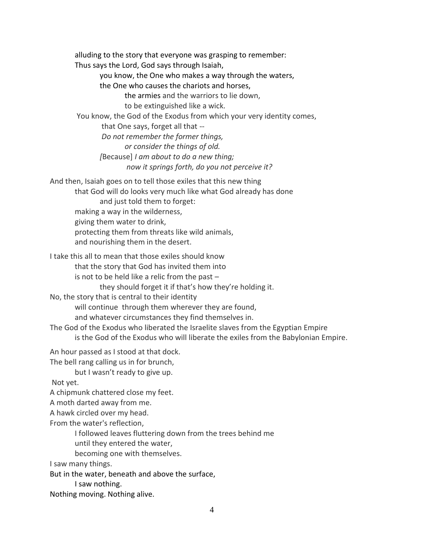alluding to the story that everyone was grasping to remember: Thus says the Lord, God says through Isaiah, you know, the One who makes a way through the waters, the One who causes the chariots and horses, the armies and the warriors to lie down, to be extinguished like a wick. You know, the God of the Exodus from which your very identity comes, that One says, forget all that -- *Do not remember the former things, or consider the things of old. [*Because] *I am about to do a new thing; now it springs forth, do you not perceive it?* And then, Isaiah goes on to tell those exiles that this new thing that God will do looks very much like what God already has done and just told them to forget: making a way in the wilderness, giving them water to drink, protecting them from threats like wild animals, and nourishing them in the desert. I take this all to mean that those exiles should know that the story that God has invited them into is not to be held like a relic from the past  $$ they should forget it if that's how they're holding it. No, the story that is central to their identity will continue through them wherever they are found, and whatever circumstances they find themselves in. The God of the Exodus who liberated the Israelite slaves from the Egyptian Empire is the God of the Exodus who will liberate the exiles from the Babylonian Empire. An hour passed as I stood at that dock. The bell rang calling us in for brunch, but I wasn't ready to give up. Not yet. A chipmunk chattered close my feet. A moth darted away from me. A hawk circled over my head. From the water's reflection, I followed leaves fluttering down from the trees behind me until they entered the water, becoming one with themselves.

I saw many things.

But in the water, beneath and above the surface,

I saw nothing.

Nothing moving. Nothing alive.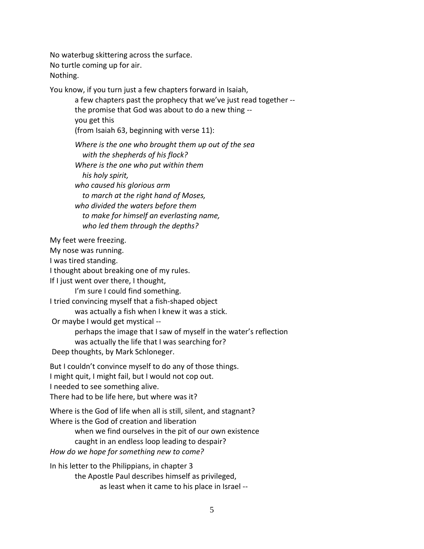No waterbug skittering across the surface. No turtle coming up for air. Nothing.

You know, if you turn just a few chapters forward in Isaiah,

a few chapters past the prophecy that we've just read together - the promise that God was about to do a new thing - you get this (from Isaiah 63, beginning with verse 11):

*Where is the one who brought them up out of the sea with the shepherds of his flock? Where is the one who put within them his holy spirit, who caused his glorious arm to march at the right hand of Moses, who divided the waters before them to make for himself an everlasting name, who led them through the depths?*

My feet were freezing.

My nose was running.

I was tired standing.

I thought about breaking one of my rules.

If I just went over there, I thought,

I'm sure I could find something.

I tried convincing myself that a fish-shaped object was actually a fish when I knew it was a stick.

Or maybe I would get mystical --

perhaps the image that I saw of myself in the water's reflection was actually the life that I was searching for?

Deep thoughts, by Mark Schloneger.

But I couldn't convince myself to do any of those things. I might quit, I might fail, but I would not cop out. I needed to see something alive. There had to be life here, but where was it?

Where is the God of life when all is still, silent, and stagnant? Where is the God of creation and liberation

when we find ourselves in the pit of our own existence caught in an endless loop leading to despair?

*How do we hope for something new to come?*

In his letter to the Philippians, in chapter 3 the Apostle Paul describes himself as privileged, as least when it came to his place in Israel --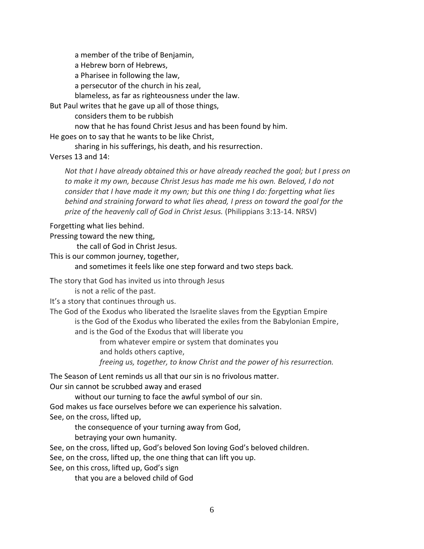a member of the tribe of Benjamin,

a Hebrew born of Hebrews,

a Pharisee in following the law,

a persecutor of the church in his zeal,

blameless, as far as righteousness under the law.

But Paul writes that he gave up all of those things,

considers them to be rubbish

now that he has found Christ Jesus and has been found by him.

He goes on to say that he wants to be like Christ,

sharing in his sufferings, his death, and his resurrection.

## Verses 13 and 14:

*Not that I have already obtained this or have already reached the goal; but I press on to make it my own, because Christ Jesus has made me his own. Beloved, I do not consider that I have made it my own; but this one thing I do: forgetting what lies behind and straining forward to what lies ahead, I press on toward the goal for the prize of the heavenly call of God in Christ Jesus.* (Philippians 3:13-14. NRSV)

## Forgetting what lies behind.

Pressing toward the new thing,

the call of God in Christ Jesus.

This is our common journey, together,

and sometimes it feels like one step forward and two steps back.

The story that God has invited us into through Jesus

is not a relic of the past.

It's a story that continues through us.

The God of the Exodus who liberated the Israelite slaves from the Egyptian Empire is the God of the Exodus who liberated the exiles from the Babylonian Empire,

and is the God of the Exodus that will liberate you

from whatever empire or system that dominates you and holds others captive,

*freeing us, together, to know Christ and the power of his resurrection.*

The Season of Lent reminds us all that our sin is no frivolous matter.

Our sin cannot be scrubbed away and erased

without our turning to face the awful symbol of our sin.

God makes us face ourselves before we can experience his salvation. See, on the cross, lifted up,

the consequence of your turning away from God,

betraying your own humanity.

See, on the cross, lifted up, God's beloved Son loving God's beloved children.

See, on the cross, lifted up, the one thing that can lift you up.

See, on this cross, lifted up, God's sign

that you are a beloved child of God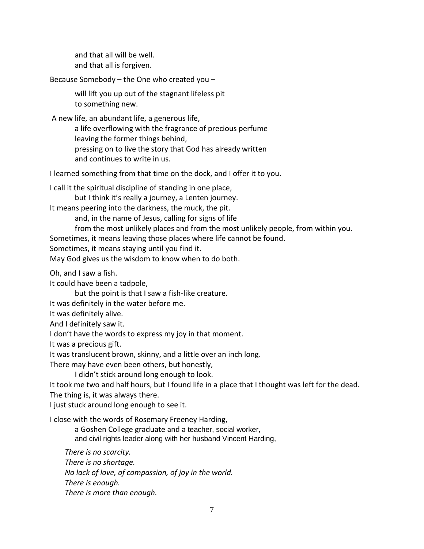and that all will be well. and that all is forgiven.

Because Somebody – the One who created you –

will lift you up out of the stagnant lifeless pit to something new.

A new life, an abundant life, a generous life,

a life overflowing with the fragrance of precious perfume leaving the former things behind, pressing on to live the story that God has already written and continues to write in us.

I learned something from that time on the dock, and I offer it to you.

I call it the spiritual discipline of standing in one place,

but I think it's really a journey, a Lenten journey.

It means peering into the darkness, the muck, the pit.

and, in the name of Jesus, calling for signs of life

from the most unlikely places and from the most unlikely people, from within you.

Sometimes, it means leaving those places where life cannot be found.

Sometimes, it means staying until you find it.

May God gives us the wisdom to know when to do both.

Oh, and I saw a fish.

It could have been a tadpole,

but the point is that I saw a fish-like creature.

It was definitely in the water before me.

It was definitely alive.

And I definitely saw it.

I don't have the words to express my joy in that moment.

It was a precious gift.

It was translucent brown, skinny, and a little over an inch long.

There may have even been others, but honestly,

I didn't stick around long enough to look.

It took me two and half hours, but I found life in a place that I thought was left for the dead.

The thing is, it was always there.

I just stuck around long enough to see it.

I close with the words of Rosemary Freeney Harding,

a Goshen College graduate and a teacher, social worker, and civil rights leader along with her husband Vincent Harding,

*There is no scarcity.* 

*There is no shortage.* 

*No lack of love, of compassion, of joy in the world.* 

*There is enough.* 

*There is more than enough.*